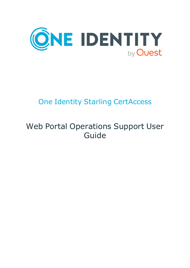

# One Identity Starling CertAccess

# Web Portal Operations Support User Guide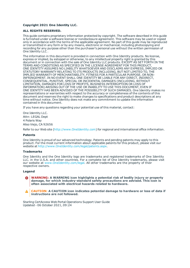#### **Copyright 2021 One Identity LLC.**

#### **ALL RIGHTS RESERVED.**

This guide contains proprietary information protected by copyright. The software described in this guide is furnished under a software license or nondisclosure agreement. This software may be used or copied only in accordance with the terms of the applicable agreement. No part of this guide may be reproduced or transmitted in any form or by any means, electronic or mechanical, including photocopying and recording for any purpose other than the purchaser's personal use without the written permission of One Identity LLC .

The information in this document is provided in connection with One Identity products. No license, express or implied, by estoppel or otherwise, to any intellectual property right is granted by this document or in connection with the sale of One Identity LLC products. EXCEPT AS SET FORTH IN THE TERMS AND CONDITIONS AS SPECIFIED IN THE LICENSE AGREEMENT FOR THIS PRODUCT, ONE IDENTITY ASSUMES NO LIABILITY WHATSOEVER AND DISCLAIMS ANY EXPRESS, IMPLIED OR STATUTORY WARRANTY RELATING TO ITS PRODUCTS INCLUDING, BUT NOT LIMITED TO, THE IMPLIED WARRANTY OF MERCHANTABILITY, FITNESS FOR A PARTICULAR PURPOSE, OR NON-INFRINGEMENT. IN NO EVENT SHALL ONE IDENTITY BE LIABLE FOR ANY DIRECT, INDIRECT, CONSEQUENTIAL, PUNITIVE, SPECIAL OR INCIDENTAL DAMAGES (INCLUDING, WITHOUT LIMITATION, DAMAGES FOR LOSS OF PROFITS, BUSINESS INTERRUPTION OR LOSS OF INFORMATION) ARISING OUT OF THE USE OR INABILITY TO USE THIS DOCUMENT, EVEN IF ONE IDENTITY HAS BEEN ADVISED OF THE POSSIBILITY OF SUCH DAMAGES. One Identity makes no representations or warranties with respect to the accuracy or completeness of the contents of this document and reserves the right to make changes to specifications and product descriptions at any time without notice. One Identity does not make any commitment to update the information contained in this document.

If you have any questions regarding your potential use of this material, contact:

One Identity LLC. Attn: LEGAL Dept 4 Polaris Way Aliso Viejo, CA 92656

Refer to our Web site ([http://www.OneIdentity.com](http://www.oneidentity.com/)) for regional and international office information.

#### **Patents**

One Identity is proud of our advanced technology. Patents and pending patents may apply to this product. For the most current information about applicable patents for this product, please visit our website at [http://www.OneIdentity.com/legal/patents.aspx](http://www.oneidentity.com/legal/patents.aspx).

#### **Trademarks**

One Identity and the One Identity logo are trademarks and registered trademarks of One Identity LLC. in the U.S.A. and other countries. For a complete list of One Identity trademarks, please visit our website at [www.OneIdentity.com/legal](http://www.oneidentity.com/legal). All other trademarks are the property of their respective owners.

#### **Legend**

**WARNING: A WARNING icon highlights a potential risk of bodily injury or property damage, for which industry-standard safety precautions are advised. This icon is often associated with electrical hazards related to hardware.**

**CAUTION: A CAUTION icon indicates potential damage to hardware or loss of data if** A **instructions are not followed.**

Starling CertAccess Web Portal Operations Support User Guide Updated - 06 October 2021, 09:24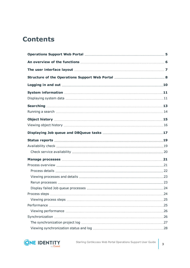## **Contents**

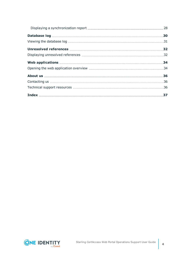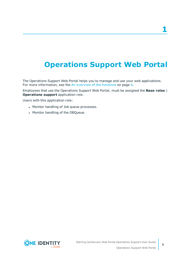# <span id="page-4-0"></span>**Operations Support Web Portal**

The Operations Support Web Portal helps you to manage and use your web applications. For more information, see the An [overview](#page-5-0) of the functions on page 6.

Employees that use the Operations Support Web Portal, must be assigned the **Base roles** | **Operations support** application role.

Users with this application role:

- Monitor handling of Job queue processes.
- Monitor handling of the DBQueue.

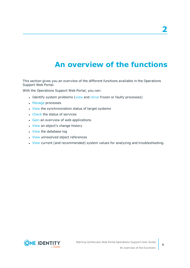# **An overview of the functions**

<span id="page-5-0"></span>This section gives you an overview of the different functions available in the Operations Support Web Portal.

With the Operations Support Web Portal, you can:

- Identify system problems [\(view](#page-23-0) and [rerun](#page-22-1) frozen or faulty processes)
- [Manage](#page-20-0) processes
- [View](#page-25-1) the synchronization status of target systems
- [Check](#page-18-1) the status of services
- **.** [Gain](#page-33-0) an overview of web applications
- [View](#page-14-0) an object's change history
- [View](#page-29-0) the database log
- [View](#page-31-0) unresolved object references
- [View](#page-10-0) current (and recommended) system values for analyzing and troubleshooting.

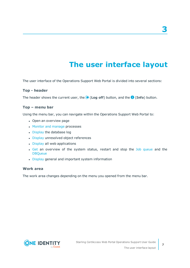# **The user interface layout**

<span id="page-6-0"></span>The user interface of the Operations Support Web Portal is divided into several sections:

#### **Top - header**

The header shows the current user, the (**Log off**) button, and the (**Info**) button.

#### **Top – menu bar**

Using the menu bar, you can navigate within the Operations Support Web Portal to:

- Open an overview page
- Monitor and [manage](#page-20-0) processes
- [Display](#page-29-0) the database log
- [Display](#page-31-0) unresolved object references
- [Display](#page-33-0) all web applications
- Get an overview of the system status, restart and stop the Job queue and the **DBQueue**
- [Display](#page-10-0) general and important system information

#### **Work area**

The work area changes depending on the menu you opened from the menu bar.

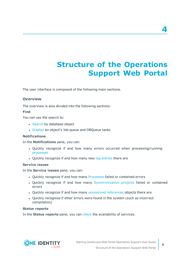# <span id="page-7-0"></span>**Structure of the Operations Support Web Portal**

The user interface is composed of the following main sections.

#### **Overview**

The overview is also divided into the following sections:

#### **Find**

You can use the search to:

- [Search](#page-12-0) by database object
- [Display](#page-16-0) an object's Job queue and DBQueue tasks

#### **Notifications**

In the **Notifications** pane, you can:

- Quickly recognize if and how many errors occurred when processing/running [processes](#page-20-0)
- Quickly recognize if and how many new log [entries](#page-29-0) there are

#### **Service issues**

In the **Service issues** pane, you can:

- Quickly recognize if and how many [Processes](#page-23-0) failed or contained errors
- Quickly recognize if and how many [Synchronization](#page-25-1) projects failed or contained errors
- Quickly recognize if and how many [unresolved](#page-31-0) references objects there are
- Ouickly recognize if other errors were found in the system (such as incorrect compilation)

#### **Status reports**

In the **Status reports** pane, you can [check](#page-19-0) the availability of services.



**4**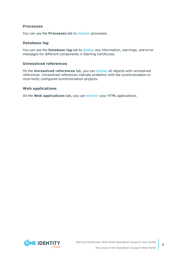#### **Processes**

You can use the **Processes** tab to [monitor](#page-20-0) processes.

#### **Database log**

You can use the **Database log** tab to [display](#page-30-0) any information, warnings, and error messages for different components in Starling CertAccess.

#### **Unresolved references**

On the **Unresolved references** tab, you can [display](#page-31-0) all objects with unresolved references. Unresolved references indicate problems with the synchronization or incorrectly configured synchronization projects.

#### **Web applications**

On the **Web applications** tab, you can [monitor](#page-33-0) your HTML applications.

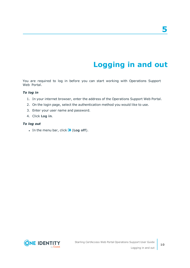# **Logging in and out**

<span id="page-9-0"></span>You are required to log in before you can start working with Operations Support Web Portal.

#### *To log in*

- 1. In your internet browser, enter the address of the Operations Support Web Portal.
- 2. On the login page, select the authentication method you would like to use.
- 3. Enter your user name and password.
- 4. Click **Log in**.

#### *To log out*

 $\cdot$  In the menu bar, click  $\bullet$  (**Log off**).

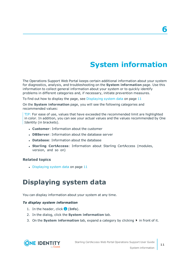# **System information**

**6**

<span id="page-10-0"></span>The Operations Support Web Portal keeps certain additional information about your system for diagnostics, analysis, and troubleshooting on the **System information** page. Use this information to collect general information about your system or to quickly identify problems in different categories and, if necessary, initiate prevention measures.

To find out how to display the page, see [Displaying](#page-10-1) system data on page 11

On the **System information** page, you will see the following categories and recommended values:

TIP: For ease of use, values that have exceeded the recommended limit are highlighted in color. In addition, you can see your actual values and the values recommended by One Identity (in brackets).

- **.** Customer: Information about the customer
- **. DBServer:** Information about the database server
- **.** Database: Information about the database
- **. Starling CertAccess**: Information about Starling CertAccess (modules, version, and so on)

#### **Related topics**

<span id="page-10-1"></span> $\bullet$  [Displaying](#page-10-1) system data on page 11

## **Displaying system data**

You can display information about your system at any time.

#### *To display system information*

- 1. In the header, click (**Info**).
- 2. In the dialog, click the **System information** tab.
- 3. On the **System information** tab, expand a category by clicking  $\blacktriangleright$  in front of it.

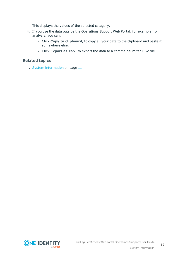This displays the values of the selected category.

- 4. If you use the data outside the Operations Support Web Portal, for example, for analysis, you can:
	- <sup>l</sup> Click **Copy to clipboard**, to copy all your data to the clipboard and paste it somewhere else.
	- <sup>l</sup> Click **Export as CSV**, to export the data to a comma delimited CSV file.

#### **Related topics**

 $\cdot$  System [information](#page-10-0) on page 11

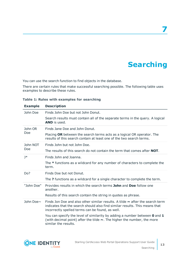# **Searching**

**7**

<span id="page-12-0"></span>You can use the search function to find objects in the database.

There are certain rules that make successful searching possible. The following table uses examples to describe these rules.

| <b>Example</b> | <b>Description</b>                                                                                                                                                                                                    |
|----------------|-----------------------------------------------------------------------------------------------------------------------------------------------------------------------------------------------------------------------|
| John Doe       | Finds John Doe but not John Donut.                                                                                                                                                                                    |
|                | Search results must contain all of the separate terms in the query. A logical<br><b>AND</b> is used.                                                                                                                  |
| John OR        | Finds Jane Doe and John Donut.                                                                                                                                                                                        |
| Doe            | Placing OR between the search terms acts as a logical OR operator. The<br>results of this search contain at least one of the two search terms.                                                                        |
| John NOT       | Finds John but not John Doe.                                                                                                                                                                                          |
| Doe            | The results of this search do not contain the term that comes after <b>NOT</b> .                                                                                                                                      |
| $J^*$          | Finds John and Joanna.                                                                                                                                                                                                |
|                | The * functions as a wildcard for any number of characters to complete the<br>term.                                                                                                                                   |
| Do?            | Finds Doe but not Donut.                                                                                                                                                                                              |
|                | The? functions as a wildcard for a single character to complete the term.                                                                                                                                             |
| "John Doe"     | Provides results in which the search terms <b>John</b> and <b>Doe</b> follow one<br>another.                                                                                                                          |
|                | Results of this search contain the string in quotes as phrase.                                                                                                                                                        |
| John Doe~      | Finds Jon Doe and also other similar results. A tilde $\sim$ after the search term<br>indicates that the search should also find similar results. This means that<br>incorrectly spelled terms can be found, as well. |
|                | You can specify the level of similarity by adding a number between 0 and 1<br>(with decimal point) after the tilde $\sim$ . The higher the number, the more<br>similar the results.                                   |

**Table 1: Rules with examples for searching**

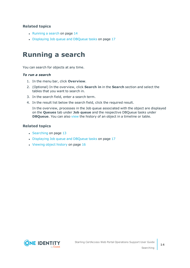#### **Related topics**

- $\cdot$  [Running](#page-13-0) a search on page 14
- [Displaying](#page-16-0) Job queue and DBQueue tasks on page 17

## <span id="page-13-0"></span>**Running a search**

You can search for objects at any time.

#### *To run a search*

- 1. In the menu bar, click **Overview**.
- 2. (Optional) In the overview, click **Search in** in the **Search** section and select the tables that you want to search in.
- 3. In the search field, enter a search term.
- 4. In the result list below the search field, click the required result.

In the overview, processes in the Job queue associated with the object are displayed on the **Queues** tab under **Job queue** and the respective DBQueue tasks under **DBQueue**. You can also [view](#page-15-0) the history of an object in a timeline or table.

- $\cdot$  [Searching](#page-12-0) on page 13
- [Displaying](#page-16-0) Job queue and DBQueue tasks on page 17
- $\cdot$  [Viewing](#page-15-0) object history on page 16

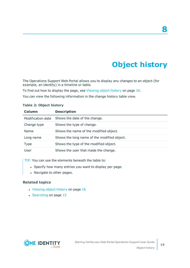# **Object history**

**8**

<span id="page-14-0"></span>The Operations Support Web Portal allows you to display any changes to an object (for example, an identity) in a timeline or table.

To find out how to display the page, see [Viewing](#page-15-0) object history on page 16.

You can view the following information in the change history table view.

| Column            | <b>Description</b>                          |
|-------------------|---------------------------------------------|
| Modification date | Shows the date of the change.               |
| Change type       | Shows the type of change.                   |
| Name              | Shows the name of the modified object.      |
| Long name         | Shows the long name of the modified object. |
| <b>Type</b>       | Shows the type of the modified object.      |
| User              | Shows the user that made the change.        |

#### **Table 2: Object history**

TIP: You can use the elements beneath the table to:

- Specify how many entries you want to display per page.
- Navigate to other pages.

- [Viewing](#page-15-0) object history on page 16
- [Searching](#page-12-0) on page 13

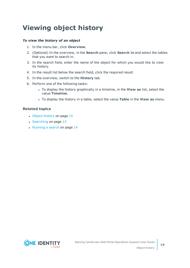# <span id="page-15-0"></span>**Viewing object history**

#### *To view the history of an object*

- 1. In the menu bar, click **Overview**.
- 2. (Optional) In the overview, in the **Search** pane, click **Search in** and select the tables that you want to search in.
- 3. In the search field, enter the name of the object for which you would like to view its history.
- 4. In the result list below the search field, click the required result.
- 5. In the overview, switch to the **History** tab.
- 6. Perform one of the following tasks:
	- <sup>l</sup> To display the history graphically in a timeline, in the **View as** list, select the value **Timeline**.
	- <sup>l</sup> To display the history in a table, select the value **Table** in the **View as** menu.

- Object [history](#page-14-0) on page 15
- [Searching](#page-12-0) on page 13
- $\cdot$  [Running](#page-13-0) a search on page 14

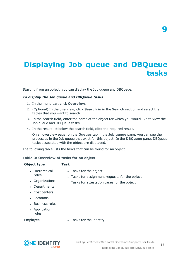# <span id="page-16-0"></span>**Displaying Job queue and DBQueue tasks**

Starting from an object, you can display the Job queue and DBQueue.

#### *To display the Job queue and DBQueue tasks*

- 1. In the menu bar, click **Overview**.
- 2. (Optional) In the overview, click **Search in** in the **Search** section and select the tables that you want to search.
- 3. In the search field, enter the name of the object for which you would like to view the Job queue and DBQueue tasks.
- 4. In the result list below the search field, click the required result.

On an overview page, on the **Queues** tab in the **Job queue** pane, you can see the processes in the Job queue that exist for this object. In the **DBQueue** pane, DBQueue tasks associated with the object are displayed.

The following table lists the tasks that can be found for an object.

|  | Table 3: Overview of tasks for an object |  |  |  |  |  |
|--|------------------------------------------|--|--|--|--|--|
|--|------------------------------------------|--|--|--|--|--|

| Object type                                                                                                                                           | Task                                                                                                                     |
|-------------------------------------------------------------------------------------------------------------------------------------------------------|--------------------------------------------------------------------------------------------------------------------------|
| • Hierarchical<br>roles<br>• Organizations<br>Departments<br>$\bullet$<br>• Cost centers<br>• Locations<br>• Business roles<br>• Application<br>roles | • Tasks for the object<br>• Tasks for assignment requests for the object<br>• Tasks for attestation cases for the object |
| Employee                                                                                                                                              | • Tasks for the identity                                                                                                 |



**9**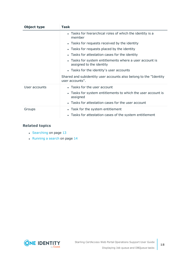| Object type   | Task                                                                                 |  |  |  |
|---------------|--------------------------------------------------------------------------------------|--|--|--|
|               | • Tasks for hierarchical roles of which the identity is a<br>member                  |  |  |  |
|               | • Tasks for requests received by the identity                                        |  |  |  |
|               | • Tasks for requests placed by the identity                                          |  |  |  |
|               | • Tasks for attestation cases for the identity                                       |  |  |  |
|               | • Tasks for system entitlements where a user account is<br>assigned to the identity  |  |  |  |
|               | • Tasks for the identity's user accounts                                             |  |  |  |
|               | Shared and subidentity user accounts also belong to the "Identity<br>user accounts". |  |  |  |
| User accounts | • Tasks for the user account                                                         |  |  |  |
|               | • Tasks for system entitlements to which the user account is<br>assigned             |  |  |  |
|               | • Tasks for attestation cases for the user account                                   |  |  |  |
| Groups        | • Task for the system entitlement                                                    |  |  |  |
|               | • Tasks for attestation cases of the system entitlement                              |  |  |  |

- [Searching](#page-12-0) on page 13
- $\cdot$  [Running](#page-13-0) a search on page 14

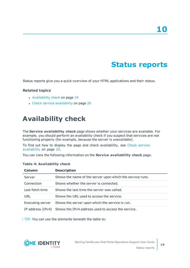# **Status reports**

<span id="page-18-0"></span>Status reports give you a quick overview of your HTML applications and their status.

#### **Related topics**

- [Availability](#page-18-1) check on page 19
- Check service [availability](#page-19-0) on page 20

## <span id="page-18-1"></span>**Availability check**

The **Service availability check** page shows whether your services are available. For example, you should perform an availability check if you suspect that services are not functioning properly (for example, because the server is unavailable).

To find out how to display the page and check availability, see Check [service](#page-19-0) [availability](#page-19-0) on page 20.

You can view the following information on the **Service availability check** page.

| Column            | <b>Description</b>                                        |
|-------------------|-----------------------------------------------------------|
| Server            | Shows the name of the server upon which the service runs. |
| Connection        | Shows whether the server is connected.                    |
| Last fetch time   | Shows the last time the server was called.                |
| URL               | Shows the URL used to access the service.                 |
| Executing server  | Shows the server upon which the service is run.           |
| IP address (IPv4) | Shows the IPv4 address used to access the service.        |

#### **Table 4: Availability check**

TIP: You can use the elements beneath the table to:

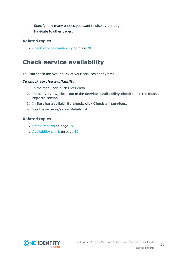- Specify how many entries you want to display per page.
- Navigate to other pages.

#### **Related topics**

• Check service [availability](#page-19-0) on page 20

## <span id="page-19-0"></span>**Check service availability**

You can check the availability of your services at any time.

#### *To check service availability*

- 1. In the menu bar, click **Overview**.
- 2. In the overview, click **Run** in the **Service availability check** tile in the **Status reports** section.
- 3. In **Service availability check**, click **Check all services**.
- 4. See the services/server details list.

- Status [reports](#page-18-0) on page 19
- [Availability](#page-18-1) check on page 19

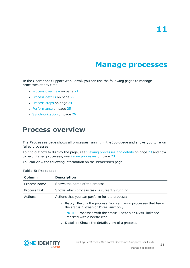## **Manage processes**

<span id="page-20-0"></span>In the Operations Support Web Portal, you can use the following pages to manage processes at any time:

- Process [overview](#page-20-1) on page 21
- [Process](#page-21-0) details on page 22
- [Process](#page-23-1) steps on page 24
- [Performance](#page-24-1) on page 25
- <span id="page-20-1"></span>• [Synchronization](#page-25-1) on page 26

## **Process overview**

The **Processes** page shows all processes running in the Job queue and allows you to rerun failed processes.

To find out how to display the page, see Viewing [processes](#page-22-0) and details on page 23 and how to rerun failed processes, see Rerun [processes](#page-22-1) on page 23.

You can view the following information on the **Processes** page.

| Column       | <b>Description</b>                                                                                     |
|--------------|--------------------------------------------------------------------------------------------------------|
| Process name | Shows the name of the process.                                                                         |
| Process task | Shows which process task is currently running.                                                         |
| Actions      | Actions that you can perform for the process:                                                          |
|              | • Retry: Reruns the process. You can rerun processes that have<br>the status Frozen or Overlimit only. |
|              | NOTE: Processes with the status Frozen or Overlimit are<br>marked with a beetle icon.                  |
|              | • Details: Shows the details view of a process.                                                        |
|              |                                                                                                        |

#### **Table 5: Processes**

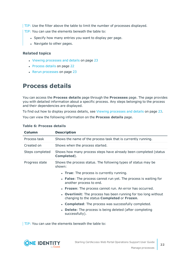TIP: Use the filter above the table to limit the number of processes displayed.

TIP: You can use the elements beneath the table to:

- Specify how many entries you want to display per page.
- Navigate to other pages.

#### **Related topics**

- Viewing [processes](#page-22-0) and details on page 23
- [Process](#page-21-0) details on page 22
- Rerun [processes](#page-22-1) on page 23

## <span id="page-21-0"></span>**Process details**

You can access the **Process details** page through the **Processes** page. The page provides you with detailed information about a specific process. Any steps belonging to the process and their dependencies are displayed.

To find out how to display process details, see Viewing [processes](#page-22-0) and details on page 23.

You can view the following information on the **Process details** page.

| <b>Column</b>   | <b>Description</b>                                                                                                   |
|-----------------|----------------------------------------------------------------------------------------------------------------------|
| Process task    | Shows the name of the process task that is currently running.                                                        |
| Created on      | Shows when the process started.                                                                                      |
| Steps completed | Shows how many process steps have already been completed (status<br>Completed).                                      |
| Progress state  | Shows the process status. The following types of status may be<br>shown:                                             |
|                 | • True: The process is currently running.                                                                            |
|                 | <b>False:</b> The process cannot run yet. The process is waiting for<br>another process to end.                      |
|                 | • Frozen: The process cannot run. An error has occurred.                                                             |
|                 | • Overlimit: The process has been running for too long without<br>changing to the status <b>Completed</b> or Frozen. |
|                 | • Completed: The process was successfully completed.                                                                 |
|                 | <b>Delete:</b> The process is being deleted (after completing<br>$\bullet$<br>successfully).                         |
|                 | TIP: You can use the elements beneath the table to:                                                                  |

#### **Table 6: Process details**

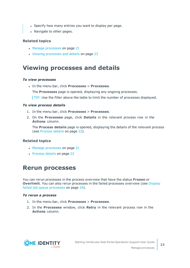- Specify how many entries you want to display per page.
- Navigate to other pages.

#### **Related topics**

- Manage [processes](#page-20-0) on page 21
- Viewing [processes](#page-22-0) and details on page 23

## <span id="page-22-0"></span>**Viewing processes and details**

#### *To view processes*

<sup>l</sup> In the menu bar, click **Processes** > **Processes**.

The **Processes** page is opened, displaying any ongoing processes.

TIP: Use the filter above the table to limit the number of processes displayed.

#### *To view process details*

- 1. In the menu bar, click **Processes** > **Processes**.
- 2. On the **Processes** page, click **Details** in the relevant process row in the **Actions** column.

The **Process details** page is opened, displaying the details of the relevant process (see [Process](#page-21-0) details on page 22).

#### **Related topics**

- Manage [processes](#page-20-0) on page 21
- [Process](#page-21-0) details on page 22

## <span id="page-22-1"></span>**Rerun processes**

You can rerun processes in the process overview that have the status **Frozen** or **Overlimit**. You can also rerun processes in the failed processes overview (see [Display](#page-23-0) failed Job queue [processes](#page-23-0) on page 24).

#### *To rerun a process*

- 1. In the menu bar, click **Processes** > **Processes**.
- 2. In the **Processes** window, click **Retry** in the relevant process row in the **Actions** column.

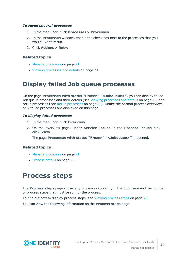#### *To rerun several processes*

- 1. In the menu bar, click **Processes** > **Processes**.
- 2. In the **Processes** window, enable the check box next to the processes that you would like to rerun.
- 3. Click **Actions** > **Retry**.

#### **Related topics**

- Manage [processes](#page-20-0) on page 21
- Viewing [processes](#page-22-0) and details on page 23

## <span id="page-23-0"></span>**Display failed Job queue processes**

On the page **Processes with status "Frozen" "<Jobqueue>"**, you can display failed Job queue processes and their details (see Viewing [processes](#page-22-0) and details on page 23) and rerun processes (see Rerun [processes](#page-22-1) on page 23). Unlike the normal process overview, only failed processes are displayed on this page.

#### *To display failed processes*

- 1. In the menu bar, click **Overview**.
- 2. On the overview page, under **Service issues** in the **Process issues** tile, click **View**.

The page **Processes with status "Frozen" "<Jobqueue>"** is opened.

#### **Related topics**

- Manage [processes](#page-20-0) on page 21
- <span id="page-23-1"></span>• [Process](#page-21-0) details on page 22

## **Process steps**

The **Process steps** page shows any processes currently in the Job queue and the number of process steps that must be run for the process.

To find out how to display process steps, see [Viewing](#page-24-0) process steps on page 25.

You can view the following information on the **Process steps** page.

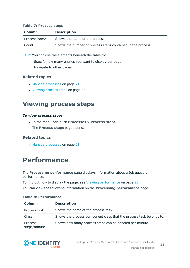#### **Table 7: Process steps**

| <b>Column</b> | <b>Description</b>                                          |
|---------------|-------------------------------------------------------------|
| Process name  | Shows the name of the process.                              |
| Count         | Shows the number of process steps contained in the process. |

TIP: You can use the elements beneath the table to:

- Specify how many entries you want to display per page.
- Navigate to other pages.

#### **Related topics**

- $\cdot$  Manage [processes](#page-20-0) on page 21
- [Viewing](#page-24-0) process steps on page 25

## <span id="page-24-0"></span>**Viewing process steps**

#### *To view process steps*

- <sup>l</sup> In the menu bar, click **Processes** > **Process steps**.
	- The **Process steps** page opens.

#### **Related topics**

 $\cdot$  Manage [processes](#page-20-0) on page 21

## <span id="page-24-1"></span>**Performance**

#### The **Processing performance** page displays information about a Job queue's performance.

To find out how to display the page, see Viewing [performance](#page-25-0) on page 26

You can view the following information on the **Processing performance** page.

### **Table 8: Performance**

| Column                         | <b>Description</b>                                                  |
|--------------------------------|---------------------------------------------------------------------|
| Process task                   | Shows the name of the process task.                                 |
| Class                          | Shows the process component class that the process task belongs to. |
| <b>Process</b><br>steps/minute | Shows how many process steps can be handled per minute.             |

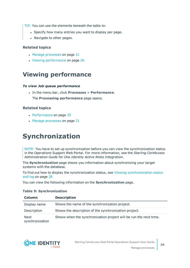TIP: You can use the elements beneath the table to:

- Specify how many entries you want to display per page.
- Navigate to other pages.

#### **Related topics**

- Manage [processes](#page-20-0) on page 21
- Viewing [performance](#page-25-0) on page 26

## <span id="page-25-0"></span>**Viewing performance**

#### *To view Job queue performance*

<sup>l</sup> In the menu bar, click **Processes** > **Performance**. The **Processing performance** page opens.

#### **Related topics**

- [Performance](#page-24-1) on page 25
- Manage [processes](#page-20-0) on page 21

## <span id="page-25-1"></span>**Synchronization**

NOTE: You have to set up synchronization before you can view the synchronization status in the Operations Support Web Portal. For more information, see the *Starling CertAccess Administration Guide for One Identity Active Roles Integration*.

The **Synchronization** page shows you information about synchronizing your target systems with the database.

To find out how to display the synchronization status, see Viewing [synchronization](#page-27-0) status and log on [page](#page-27-0) 28

You can view the following information on the **Synchronization** page.

| <b>Column</b>                  | <b>Description</b>                                                |
|--------------------------------|-------------------------------------------------------------------|
| Display name                   | Shows the name of the synchronization project.                    |
| Description                    | Shows the description of the synchronization project.             |
| <b>Next</b><br>synchronization | Shows when the synchronization project will be run the next time. |

#### **Table 9: Synchronization**

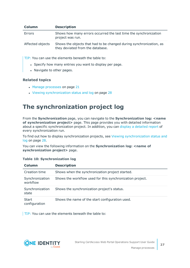| <b>Column</b>    | <b>Description</b>                                                                                      |
|------------------|---------------------------------------------------------------------------------------------------------|
| Errors           | Shows how many errors occurred the last time the synchronization<br>project was run.                    |
| Affected objects | Shows the objects that had to be changed during synchronization, as<br>they deviated from the database. |

TIP: You can use the elements beneath the table to:

- Specify how many entries you want to display per page.
- Navigate to other pages.

#### **Related topics**

- Manage [processes](#page-20-0) on page 21
- Viewing [synchronization](#page-27-0) status and log on page 28

## <span id="page-26-0"></span>**The synchronization project log**

From the **Synchronization** page, you can navigate to the **Synchronization log: <name of synchronization project>** page. This page provides you with detailed information about a specific synchronization project. In addition, you can display a [detailed](#page-27-1) report of every synchronization run.

To find out how to display synchronization projects, see Viewing [synchronization](#page-27-0) status and log on [page](#page-27-0) 28.

You can view the following information on the **Synchronization log: <name of synchronization project>** page.

|  | <b>Table 10: Synchronization log</b> |  |
|--|--------------------------------------|--|
|  |                                      |  |

| Column                        | <b>Description</b>                                        |
|-------------------------------|-----------------------------------------------------------|
| Creation time                 | Shows when the synchronization project started.           |
| Synchronization<br>workflow   | Shows the workflow used for this synchronization project. |
| Synchronization<br>state      | Shows the synchronization project's status.               |
| <b>Start</b><br>configuration | Shows the name of the start configuration used.           |

TIP: You can use the elements beneath the table to:

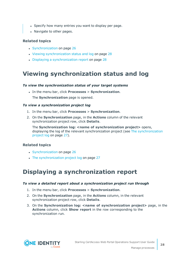- Specify how many entries you want to display per page.
- Navigate to other pages.

#### **Related topics**

- [Synchronization](#page-25-1) on page 26
- Viewing [synchronization](#page-27-0) status and log on page 28
- Displaying a [synchronization](#page-27-1) report on page  $28$

## <span id="page-27-0"></span>**Viewing synchronization status and log**

#### *To view the synchronization status of your target systems*

<sup>l</sup> In the menu bar, click **Processes** > **Synchronization**.

The **Synchronization** page is opened.

#### *To view a synchronization project log*

- 1. In the menu bar, click **Processes** > **Synchronization**.
- 2. On the **Synchronization** page, in the **Actions** column of the relevant synchronization project row, click **Details**.

**The Synchronization log: <name of synchronization project>** opens, displaying the log of the relevant synchronization project (see The [synchronization](#page-26-0) [project](#page-26-0) log on page 27).

#### **Related topics**

- [Synchronization](#page-25-1) on page 26
- The [synchronization](#page-26-0) project log on page 27

## <span id="page-27-1"></span>**Displaying a synchronization report**

#### *To view a detailed report about a synchronization project run through*

- 1. In the menu bar, click **Processes** > **Synchronization**.
- 2. On the **Synchronization** page, in the **Actions** column, in the relevant synchronization project row, click **Details**.
- 3. On the **Synchronization log: <name of synchronization project>** page, in the **Actions** column, click **Show report** in the row corresponding to the synchronization run.

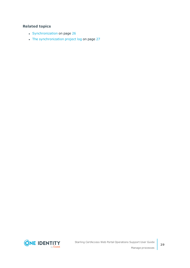- [Synchronization](#page-25-1) on page 26
- The [synchronization](#page-26-0) project log on page 27

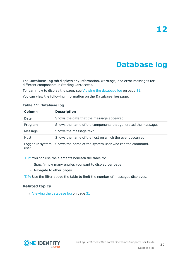# **Database log**

<span id="page-29-0"></span>The **Database log** tab displays any information, warnings, and error messages for different components in Starling CertAccess.

To learn how to display the page, see Viewing the [database](#page-30-0) log on page 31.

You can view the following information on the **Database log** page.

| Column  | <b>Description</b>                                                      |
|---------|-------------------------------------------------------------------------|
| Date    | Shows the date that the message appeared.                               |
| Program | Shows the name of the components that generated the message.            |
| Message | Shows the message text.                                                 |
| Host    | Shows the name of the host on which the event occurred.                 |
|         | Logged in system Shows the name of the system user who ran the command. |

#### **Table 11: Database log**

user

TIP: You can use the elements beneath the table to:

- Specify how many entries you want to display per page.
- Navigate to other pages.

TIP: Use the filter above the table to limit the number of messages displayed.

#### **Related topics**

 $\cdot$  Viewing the [database](#page-30-0) log on page 31

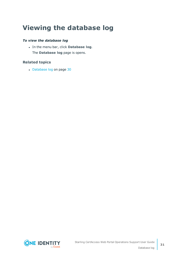# <span id="page-30-0"></span>**Viewing the database log**

#### *To view the database log*

<sup>l</sup> In the menu bar, click **Database log**. The **Database log** page is opens.

#### **Related topics**

• [Database](#page-29-0) log on page 30

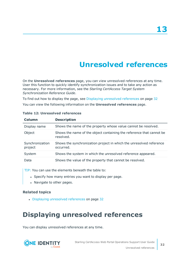# **Unresolved references**

<span id="page-31-0"></span>On the **Unresolved references** page, you can view unresolved references at any time. User this function to quickly identify synchronization issues and to take any action as necessary. For more information, see the *Starling CertAccess Target System Synchronization Reference Guide*.

To find out how to display the page, see Displaying [unresolved](#page-31-1) references on page 32

You can view the following information on the **Unresolved references** page.

| Column                     | <b>Description</b>                                                                |
|----------------------------|-----------------------------------------------------------------------------------|
| Display name               | Shows the name of the property whose value cannot be resolved.                    |
| Object                     | Shows the name of the object containing the reference that cannot be<br>resolved. |
| Synchronization<br>project | Shows the synchronization project in which the unresolved reference<br>occurred.  |
| System                     | Shows the system in which the unresolved reference appeared.                      |
| Data                       | Shows the value of the property that cannot be resolved.                          |

#### **Table 12: Unresolved references**

TIP: You can use the elements beneath the table to:

- Specify how many entries you want to display per page.
- Navigate to other pages.

#### **Related topics**

• Displaying [unresolved](#page-31-1) references on page 32

## <span id="page-31-1"></span>**Displaying unresolved references**

You can display unresolved references at any time.

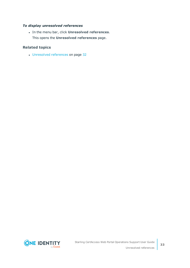#### *To display unresolved references*

<sup>l</sup> In the menu bar, click **Unresolved references**. This opens the **Unresolved references** page.

#### **Related topics**

• [Unresolved](#page-31-0) references on page 32

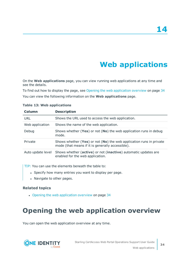# **Web applications**

<span id="page-33-0"></span>On the **Web applications** page, you can view running web applications at any time and see the details.

To find out how to display the page, see Opening the web [application](#page-33-1) overview on page 34 You can view the following information on the **Web applications** page.

| Column            | <b>Description</b>                                                                                                      |
|-------------------|-------------------------------------------------------------------------------------------------------------------------|
| URL               | Shows the URL used to access the web application.                                                                       |
| Web application   | Shows the name of the web application.                                                                                  |
| Debug             | Shows whether (Yes) or not (No) the web application runs in debug<br>mode.                                              |
| Private           | Shows whether (Yes) or not (No) the web application runs in private<br>mode (that means if it is generally accessible). |
| Auto update level | Shows whether (active) or not (inactive) automatic updates are<br>enabled for the web application.                      |

#### **Table 13: Web applications**

TIP: You can use the elements beneath the table to:

- Specify how many entries you want to display per page.
- Navigate to other pages.

#### **Related topics**

• Opening the web [application](#page-33-1) overview on page 34

# <span id="page-33-1"></span>**Opening the web application overview**

You can open the web application overview at any time.

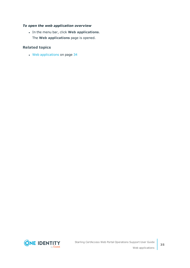#### *To open the web application overview*

<sup>l</sup> In the menu bar, click **Web applications**. The **Web applications** page is opened.

#### **Related topics**

• Web [applications](#page-33-0) on page 34

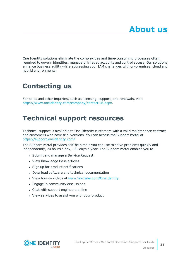<span id="page-35-0"></span>One Identity solutions eliminate the complexities and time-consuming processes often required to govern identities, manage privileged accounts and control access. Our solutions enhance business agility while addressing your IAM challenges with on-premises, cloud and hybrid environments.

# <span id="page-35-1"></span>**Contacting us**

For sales and other inquiries, such as licensing, support, and renewals, visit <https://www.oneidentity.com/company/contact-us.aspx>.

## <span id="page-35-2"></span>**Technical support resources**

Technical support is available to One Identity customers with a valid maintenance contract and customers who have trial versions. You can access the Support Portal at [https://support.oneidentity.com/.](https://support.oneidentity.com/)

The Support Portal provides self-help tools you can use to solve problems quickly and independently, 24 hours a day, 365 days a year. The Support Portal enables you to:

- Submit and manage a Service Request
- View Knowledge Base articles
- Sign up for product notifications
- Download software and technical documentation
- View how-to videos at [www.YouTube.com/OneIdentity](http://www.youtube.com/OneIdentity)
- Engage in community discussions
- Chat with support engineers online
- View services to assist you with your product

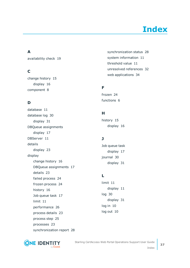# **Index**

### <span id="page-36-0"></span>**A**

availability check [19](#page-18-1)

### **C**

change history [15](#page-14-0) display [16](#page-15-0) component [8](#page-7-0)

### **D**

database [11](#page-10-0) database log [30](#page-29-0) display [31](#page-30-0) DBQueue assignments display [17](#page-16-0) DBServer [11](#page-10-0) details display [23](#page-22-0) display change history [16](#page-15-0) DBQueue assignments [17](#page-16-0) details [23](#page-22-0) failed process [24](#page-23-0) frozen process [24](#page-23-0) history [16](#page-15-0) Job queue task [17](#page-16-0) limit [11](#page-10-1) performance [26](#page-25-0) process details [23](#page-22-0) process step [25](#page-24-0) processes [23](#page-22-0) synchronization report [28](#page-27-1) synchronization status [28](#page-27-0) system information [11](#page-10-1) threshold value [11](#page-10-1) unresolved references [32](#page-31-1) web applications [34](#page-33-1)

### **F**

frozen [24](#page-23-0) functions [6](#page-5-0)

### **H**

history [15](#page-14-0) display [16](#page-15-0)

### **J**

Job queue task display [17](#page-16-0) journal [30](#page-29-0) display [31](#page-30-0)

### **L**

limit [11](#page-10-0) display [11](#page-10-1) log [30](#page-29-0) display [31](#page-30-0) log in [10](#page-9-0) log out [10](#page-9-0)



Index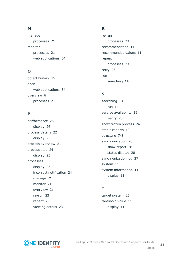### **M**

manage processes [21](#page-20-0) monitor processes [21](#page-20-0) web applications [34](#page-33-0)

### **O**

object history [15](#page-14-0) open web applications [34](#page-33-1) overview [6](#page-5-0) processes [21](#page-20-1)

### **P**

performance [25](#page-24-1) display [26](#page-25-0) process details [22](#page-21-0) display [23](#page-22-0) process overview [21](#page-20-1) process step [24](#page-23-1) display [25](#page-24-0) processes display [23](#page-22-0) incorrect notification [24](#page-23-0) manage [21](#page-20-0) monitor [21](#page-20-0) overview [21](#page-20-1) re-run [23](#page-22-1) repeat [23](#page-22-1) viewing details [23](#page-22-0)

### **R**

re-run processes [23](#page-22-1) recommendation [11](#page-10-0) recommended values [11](#page-10-0) repeat processes [23](#page-22-1) retry [23](#page-22-1) run searching [14](#page-13-0)

### **S**

searching [13](#page-12-0) run [14](#page-13-0) service availability [19](#page-18-1) verify [20](#page-19-0) show frozen process [24](#page-23-0) status reports [19](#page-18-0) structure [7-8](#page-6-0) synchronization [26](#page-25-1) show report [28](#page-27-1) status display [28](#page-27-0) synchronization log [27](#page-26-0) system [11](#page-10-0) system information [11](#page-10-0) display [11](#page-10-1)

### **T**

target system [26](#page-25-1) threshold value [11](#page-10-0) display [11](#page-10-1)



**38**